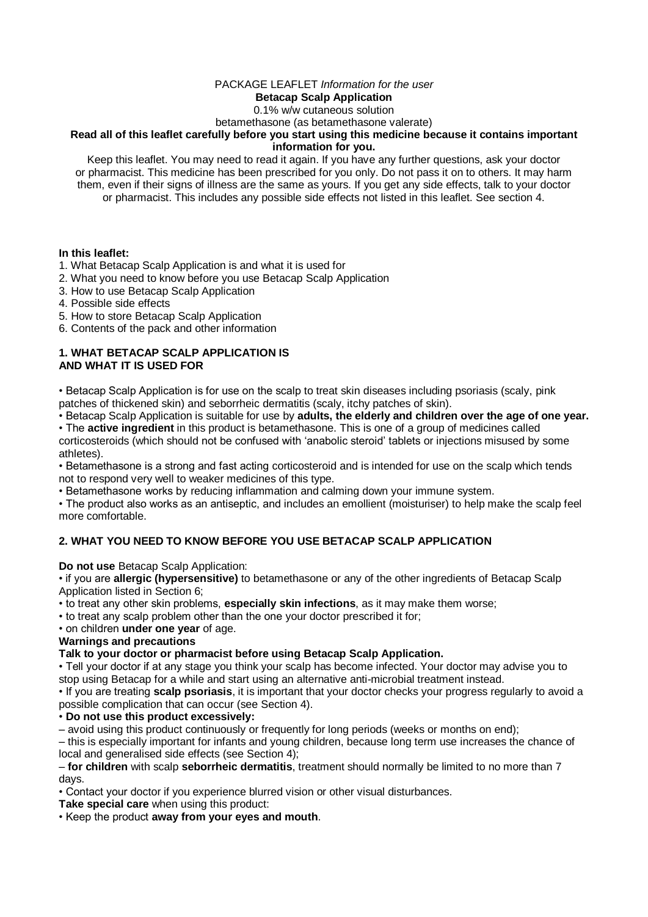## PACKAGE LEAFLET *Information for the user*

## **Betacap Scalp Application**

0.1% w/w cutaneous solution

betamethasone (as betamethasone valerate)

#### **Read all of this leaflet carefully before you start using this medicine because it contains important information for you.**

Keep this leaflet. You may need to read it again. If you have any further questions, ask your doctor or pharmacist. This medicine has been prescribed for you only. Do not pass it on to others. It may harm them, even if their signs of illness are the same as yours. If you get any side effects, talk to your doctor or pharmacist. This includes any possible side effects not listed in this leaflet. See section 4.

### **In this leaflet:**

- 1. What Betacap Scalp Application is and what it is used for
- 2. What you need to know before you use Betacap Scalp Application
- 3. How to use Betacap Scalp Application
- 4. Possible side effects
- 5. How to store Betacap Scalp Application
- 6. Contents of the pack and other information

#### **1. WHAT BETACAP SCALP APPLICATION IS AND WHAT IT IS USED FOR**

• Betacap Scalp Application is for use on the scalp to treat skin diseases including psoriasis (scaly, pink patches of thickened skin) and seborrheic dermatitis (scaly, itchy patches of skin).

• Betacap Scalp Application is suitable for use by **adults, the elderly and children over the age of one year.**

• The **active ingredient** in this product is betamethasone. This is one of a group of medicines called corticosteroids (which should not be confused with 'anabolic steroid' tablets or injections misused by some athletes).

• Betamethasone is a strong and fast acting corticosteroid and is intended for use on the scalp which tends not to respond very well to weaker medicines of this type.

• Betamethasone works by reducing inflammation and calming down your immune system.

• The product also works as an antiseptic, and includes an emollient (moisturiser) to help make the scalp feel more comfortable.

# **2. WHAT YOU NEED TO KNOW BEFORE YOU USE BETACAP SCALP APPLICATION**

**Do not use** Betacap Scalp Application:

• if you are **allergic (hypersensitive)** to betamethasone or any of the other ingredients of Betacap Scalp Application listed in Section 6;

• to treat any other skin problems, **especially skin infections**, as it may make them worse;

• to treat any scalp problem other than the one your doctor prescribed it for;

## • on children **under one year** of age.

## **Warnings and precautions**

## **Talk to your doctor or pharmacist before using Betacap Scalp Application.**

• Tell your doctor if at any stage you think your scalp has become infected. Your doctor may advise you to stop using Betacap for a while and start using an alternative anti-microbial treatment instead.

• If you are treating **scalp psoriasis**, it is important that your doctor checks your progress regularly to avoid a possible complication that can occur (see Section 4).

## • **Do not use this product excessively:**

– avoid using this product continuously or frequently for long periods (weeks or months on end);

– this is especially important for infants and young children, because long term use increases the chance of local and generalised side effects (see Section 4);

#### – **for children** with scalp **seborrheic dermatitis**, treatment should normally be limited to no more than 7 days.

• Contact your doctor if you experience blurred vision or other visual disturbances.

**Take special care** when using this product:

• Keep the product **away from your eyes and mouth**.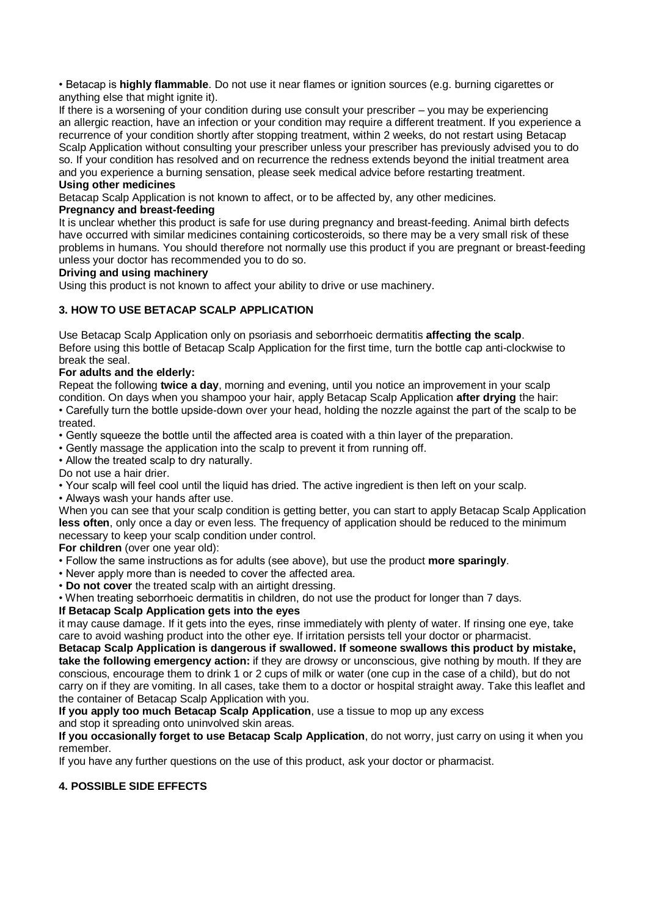• Betacap is **highly flammable**. Do not use it near flames or ignition sources (e.g. burning cigarettes or anything else that might ignite it).

If there is a worsening of your condition during use consult your prescriber – you may be experiencing an allergic reaction, have an infection or your condition may require a different treatment. If you experience a recurrence of your condition shortly after stopping treatment, within 2 weeks, do not restart using Betacap Scalp Application without consulting your prescriber unless your prescriber has previously advised you to do so. If your condition has resolved and on recurrence the redness extends beyond the initial treatment area and you experience a burning sensation, please seek medical advice before restarting treatment.

## **Using other medicines**

Betacap Scalp Application is not known to affect, or to be affected by, any other medicines.

## **Pregnancy and breast-feeding**

It is unclear whether this product is safe for use during pregnancy and breast-feeding. Animal birth defects have occurred with similar medicines containing corticosteroids, so there may be a very small risk of these problems in humans. You should therefore not normally use this product if you are pregnant or breast-feeding unless your doctor has recommended you to do so.

## **Driving and using machinery**

Using this product is not known to affect your ability to drive or use machinery.

# **3. HOW TO USE BETACAP SCALP APPLICATION**

Use Betacap Scalp Application only on psoriasis and seborrhoeic dermatitis **affecting the scalp**. Before using this bottle of Betacap Scalp Application for the first time, turn the bottle cap anti-clockwise to break the seal.

# **For adults and the elderly:**

Repeat the following **twice a day**, morning and evening, until you notice an improvement in your scalp condition. On days when you shampoo your hair, apply Betacap Scalp Application **after drying** the hair: • Carefully turn the bottle upside-down over your head, holding the nozzle against the part of the scalp to be treated.

• Gently squeeze the bottle until the affected area is coated with a thin layer of the preparation.

• Gently massage the application into the scalp to prevent it from running off.

• Allow the treated scalp to dry naturally.

Do not use a hair drier.

• Your scalp will feel cool until the liquid has dried. The active ingredient is then left on your scalp.

• Always wash your hands after use.

When you can see that your scalp condition is getting better, you can start to apply Betacap Scalp Application **less often**, only once a day or even less. The frequency of application should be reduced to the minimum necessary to keep your scalp condition under control.

**For children** (over one year old):

• Follow the same instructions as for adults (see above), but use the product **more sparingly**.

• Never apply more than is needed to cover the affected area.

• **Do not cover** the treated scalp with an airtight dressing.

• When treating seborrhoeic dermatitis in children, do not use the product for longer than 7 days.

# **If Betacap Scalp Application gets into the eyes**

it may cause damage. If it gets into the eyes, rinse immediately with plenty of water. If rinsing one eye, take care to avoid washing product into the other eye. If irritation persists tell your doctor or pharmacist.

**Betacap Scalp Application is dangerous if swallowed. If someone swallows this product by mistake, take the following emergency action:** if they are drowsy or unconscious, give nothing by mouth. If they are conscious, encourage them to drink 1 or 2 cups of milk or water (one cup in the case of a child), but do not carry on if they are vomiting. In all cases, take them to a doctor or hospital straight away. Take this leaflet and the container of Betacap Scalp Application with you.

**If you apply too much Betacap Scalp Application**, use a tissue to mop up any excess

and stop it spreading onto uninvolved skin areas.

**If you occasionally forget to use Betacap Scalp Application**, do not worry, just carry on using it when you remember.

If you have any further questions on the use of this product, ask your doctor or pharmacist.

# **4. POSSIBLE SIDE EFFECTS**